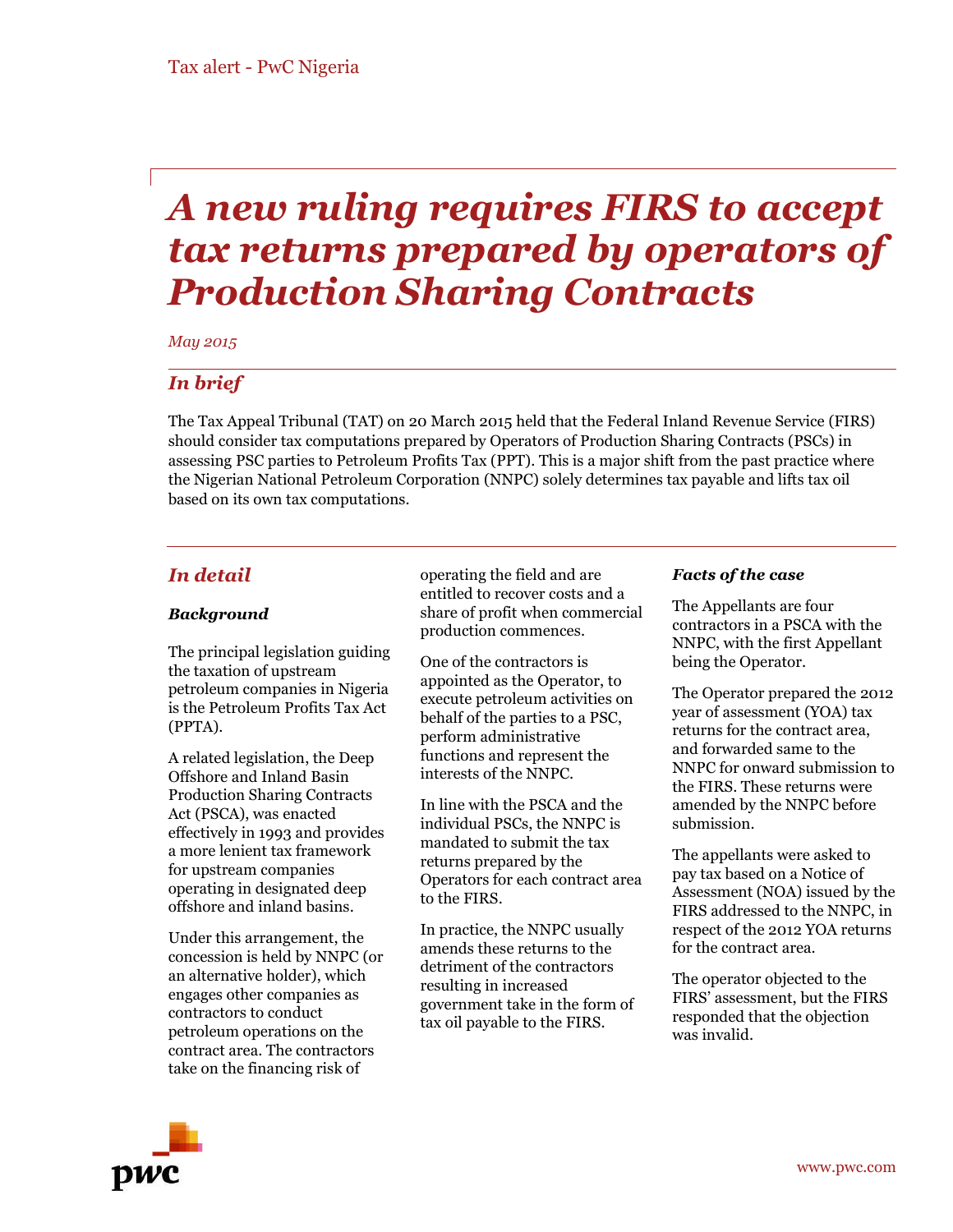# *A new ruling requires FIRS to accept tax returns prepared by operators of Production Sharing Contracts*

*May 2015*

# *In brief*

The Tax Appeal Tribunal (TAT) on 20 March 2015 held that the Federal Inland Revenue Service (FIRS) should consider tax computations prepared by Operators of Production Sharing Contracts (PSCs) in assessing PSC parties to Petroleum Profits Tax (PPT). This is a major shift from the past practice where the Nigerian National Petroleum Corporation (NNPC) solely determines tax payable and lifts tax oil based on its own tax computations.

## *In detail*

### *Background*

The principal legislation guiding the taxation of upstream petroleum companies in Nigeria is the Petroleum Profits Tax Act (PPTA).

A related legislation, the Deep Offshore and Inland Basin Production Sharing Contracts Act (PSCA), was enacted effectively in 1993 and provides a more lenient tax framework for upstream companies operating in designated deep offshore and inland basins.

Under this arrangement, the concession is held by NNPC (or an alternative holder), which engages other companies as contractors to conduct petroleum operations on the contract area. The contractors take on the financing risk of

operating the field and are entitled to recover costs and a share of profit when commercial production commences.

One of the contractors is appointed as the Operator, to execute petroleum activities on behalf of the parties to a PSC, perform administrative functions and represent the interests of the NNPC.

In line with the PSCA and the individual PSCs, the NNPC is mandated to submit the tax returns prepared by the Operators for each contract area to the FIRS.

In practice, the NNPC usually amends these returns to the detriment of the contractors resulting in increased government take in the form of tax oil payable to the FIRS.

#### *Facts of the case*

The Appellants are four contractors in a PSCA with the NNPC, with the first Appellant being the Operator.

The Operator prepared the 2012 year of assessment (YOA) tax returns for the contract area, and forwarded same to the NNPC for onward submission to the FIRS. These returns were amended by the NNPC before submission.

The appellants were asked to pay tax based on a Notice of Assessment (NOA) issued by the FIRS addressed to the NNPC, in respect of the 2012 YOA returns for the contract area.

The operator objected to the FIRS' assessment, but the FIRS responded that the objection was invalid.

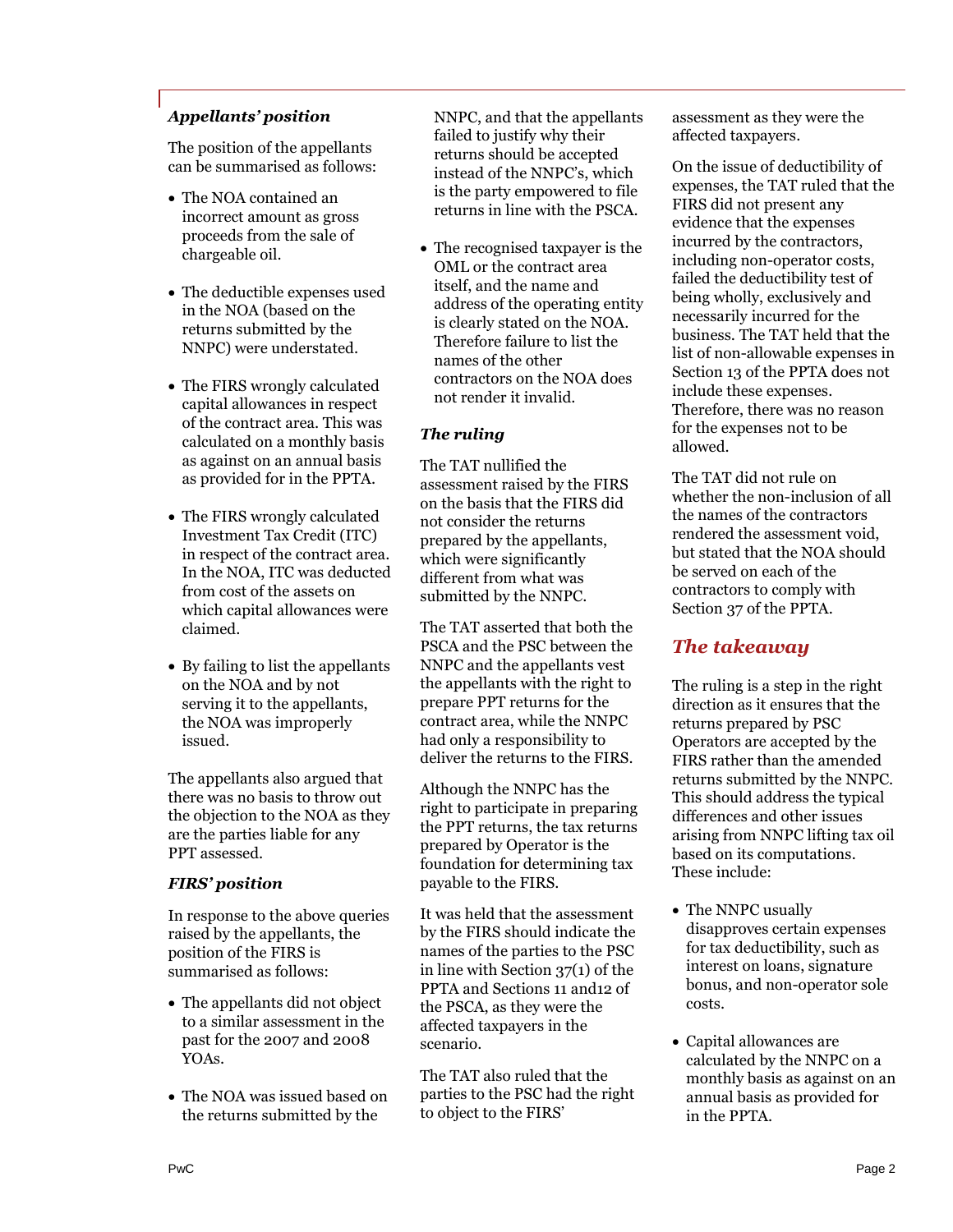## *Appellants' position*

The position of the appellants can be summarised as follows:

- The NOA contained an incorrect amount as gross proceeds from the sale of chargeable oil.
- The deductible expenses used in the NOA (based on the returns submitted by the NNPC) were understated.
- The FIRS wrongly calculated capital allowances in respect of the contract area. This was calculated on a monthly basis as against on an annual basis as provided for in the PPTA.
- The FIRS wrongly calculated Investment Tax Credit (ITC) in respect of the contract area. In the NOA, ITC was deducted from cost of the assets on which capital allowances were claimed.
- By failing to list the appellants on the NOA and by not serving it to the appellants, the NOA was improperly issued.

The appellants also argued that there was no basis to throw out the objection to the NOA as they are the parties liable for any PPT assessed.

#### *FIRS' position*

In response to the above queries raised by the appellants, the position of the FIRS is summarised as follows:

- The appellants did not object to a similar assessment in the past for the 2007 and 2008 YOAs.
- The NOA was issued based on the returns submitted by the

NNPC, and that the appellants failed to justify why their returns should be accepted instead of the NNPC's, which is the party empowered to file returns in line with the PSCA.

 The recognised taxpayer is the OML or the contract area itself, and the name and address of the operating entity is clearly stated on the NOA. Therefore failure to list the names of the other contractors on the NOA does not render it invalid.

## *The ruling*

The TAT nullified the assessment raised by the FIRS on the basis that the FIRS did not consider the returns prepared by the appellants, which were significantly different from what was submitted by the NNPC.

The TAT asserted that both the PSCA and the PSC between the NNPC and the appellants vest the appellants with the right to prepare PPT returns for the contract area, while the NNPC had only a responsibility to deliver the returns to the FIRS.

Although the NNPC has the right to participate in preparing the PPT returns, the tax returns prepared by Operator is the foundation for determining tax payable to the FIRS.

It was held that the assessment by the FIRS should indicate the names of the parties to the PSC in line with Section 37(1) of the PPTA and Sections 11 and12 of the PSCA, as they were the affected taxpayers in the scenario.

The TAT also ruled that the parties to the PSC had the right to object to the FIRS'

assessment as they were the affected taxpayers.

On the issue of deductibility of expenses, the TAT ruled that the FIRS did not present any evidence that the expenses incurred by the contractors, including non-operator costs, failed the deductibility test of being wholly, exclusively and necessarily incurred for the business. The TAT held that the list of non-allowable expenses in Section 13 of the PPTA does not include these expenses. Therefore, there was no reason for the expenses not to be allowed.

The TAT did not rule on whether the non-inclusion of all the names of the contractors rendered the assessment void, but stated that the NOA should be served on each of the contractors to comply with Section 37 of the PPTA.

# *The takeaway*

The ruling is a step in the right direction as it ensures that the returns prepared by PSC Operators are accepted by the FIRS rather than the amended returns submitted by the NNPC. This should address the typical differences and other issues arising from NNPC lifting tax oil based on its computations. These include:

- The NNPC usually disapproves certain expenses for tax deductibility, such as interest on loans, signature bonus, and non-operator sole costs.
- Capital allowances are calculated by the NNPC on a monthly basis as against on an annual basis as provided for in the PPTA.